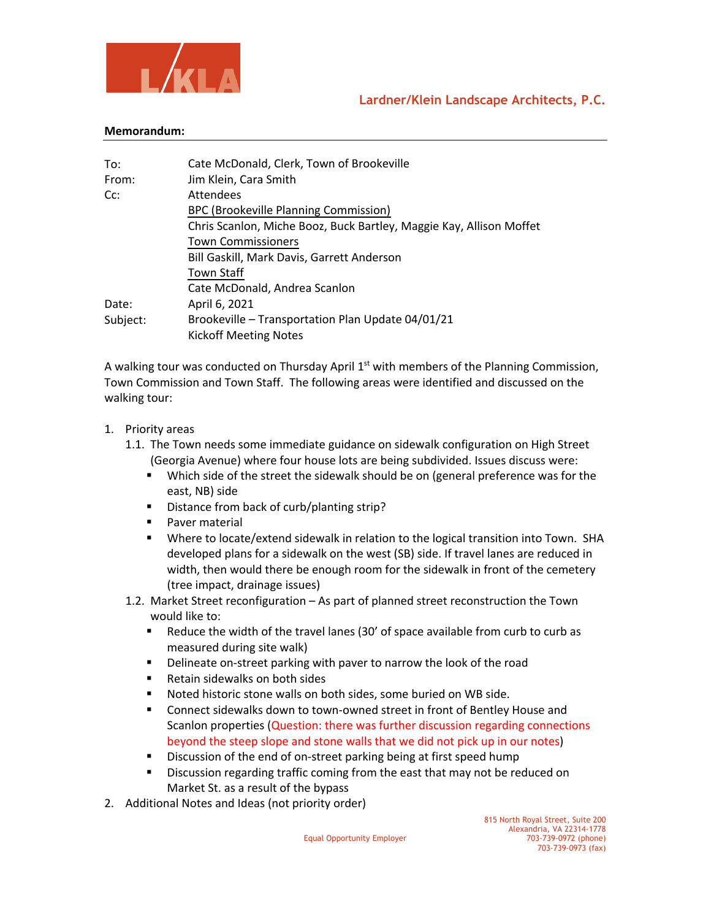



## **Memorandum:**

| To:      | Cate McDonald, Clerk, Town of Brookeville                           |
|----------|---------------------------------------------------------------------|
| From:    | Jim Klein, Cara Smith                                               |
| Cc:      | <b>Attendees</b>                                                    |
|          | BPC (Brookeville Planning Commission)                               |
|          | Chris Scanlon, Miche Booz, Buck Bartley, Maggie Kay, Allison Moffet |
|          | <b>Town Commissioners</b>                                           |
|          | Bill Gaskill, Mark Davis, Garrett Anderson                          |
|          | <b>Town Staff</b>                                                   |
|          | Cate McDonald, Andrea Scanlon                                       |
| Date:    | April 6, 2021                                                       |
| Subject: | Brookeville - Transportation Plan Update 04/01/21                   |
|          | <b>Kickoff Meeting Notes</b>                                        |

A walking tour was conducted on Thursday April  $1<sup>st</sup>$  with members of the Planning Commission, Town Commission and Town Staff. The following areas were identified and discussed on the walking tour:

- 1. Priority areas
	- 1.1. The Town needs some immediate guidance on sidewalk configuration on High Street (Georgia Avenue) where four house lots are being subdivided. Issues discuss were:
		- **•** Which side of the street the sidewalk should be on (general preference was for the east, NB) side
		- Distance from back of curb/planting strip?
		- Paver material
		- § Where to locate/extend sidewalk in relation to the logical transition into Town. SHA developed plans for a sidewalk on the west (SB) side. If travel lanes are reduced in width, then would there be enough room for the sidewalk in front of the cemetery (tree impact, drainage issues)
	- 1.2. Market Street reconfiguration As part of planned street reconstruction the Town would like to:
		- Reduce the width of the travel lanes (30' of space available from curb to curb as measured during site walk)
		- Delineate on-street parking with paver to narrow the look of the road
		- Retain sidewalks on both sides
		- Noted historic stone walls on both sides, some buried on WB side.
		- Connect sidewalks down to town-owned street in front of Bentley House and Scanlon properties (Question: there was further discussion regarding connections beyond the steep slope and stone walls that we did not pick up in our notes)
		- Discussion of the end of on-street parking being at first speed hump
		- Discussion regarding traffic coming from the east that may not be reduced on Market St. as a result of the bypass
- 2. Additional Notes and Ideas (not priority order)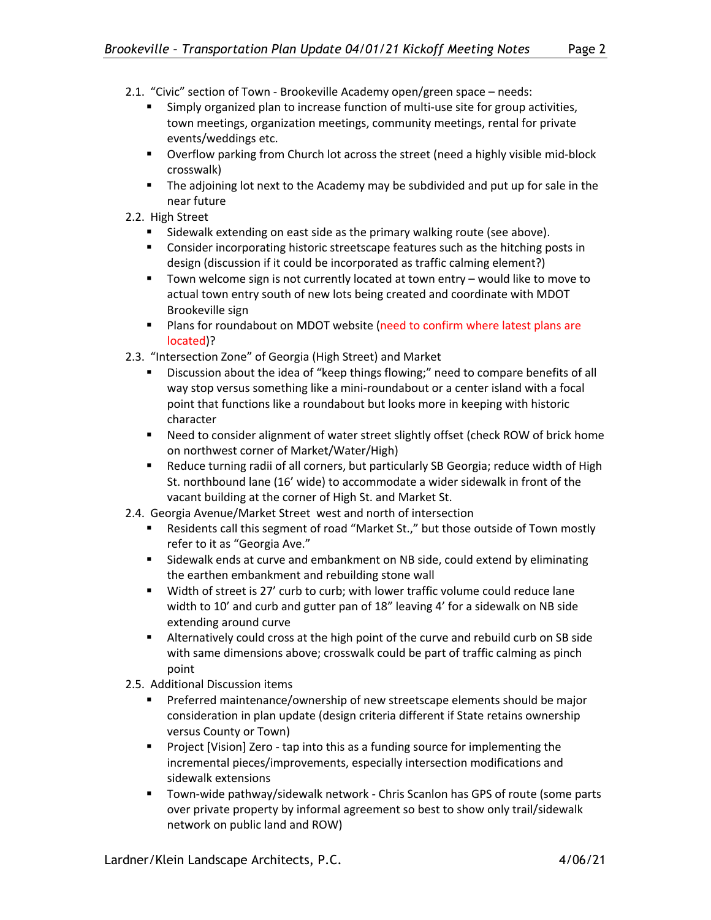- 2.1. "Civic" section of Town Brookeville Academy open/green space needs:
	- Simply organized plan to increase function of multi-use site for group activities, town meetings, organization meetings, community meetings, rental for private events/weddings etc.
	- § Overflow parking from Church lot across the street (need a highly visible mid-block crosswalk)
	- The adjoining lot next to the Academy may be subdivided and put up for sale in the near future
- 2.2. High Street
	- Sidewalk extending on east side as the primary walking route (see above).
	- Consider incorporating historic streetscape features such as the hitching posts in design (discussion if it could be incorporated as traffic calming element?)
	- Town welcome sign is not currently located at town entry would like to move to actual town entry south of new lots being created and coordinate with MDOT Brookeville sign
	- **•** Plans for roundabout on MDOT website (need to confirm where latest plans are located)?
- 2.3. "Intersection Zone" of Georgia (High Street) and Market
	- Discussion about the idea of "keep things flowing;" need to compare benefits of all way stop versus something like a mini-roundabout or a center island with a focal point that functions like a roundabout but looks more in keeping with historic character
	- Need to consider alignment of water street slightly offset (check ROW of brick home on northwest corner of Market/Water/High)
	- Reduce turning radii of all corners, but particularly SB Georgia; reduce width of High St. northbound lane (16' wide) to accommodate a wider sidewalk in front of the vacant building at the corner of High St. and Market St.
- 2.4. Georgia Avenue/Market Street west and north of intersection
	- Residents call this segment of road "Market St.," but those outside of Town mostly refer to it as "Georgia Ave."
	- Sidewalk ends at curve and embankment on NB side, could extend by eliminating the earthen embankment and rebuilding stone wall
	- § Width of street is 27' curb to curb; with lower traffic volume could reduce lane width to 10' and curb and gutter pan of 18" leaving 4' for a sidewalk on NB side extending around curve
	- § Alternatively could cross at the high point of the curve and rebuild curb on SB side with same dimensions above; crosswalk could be part of traffic calming as pinch point
- 2.5. Additional Discussion items
	- Preferred maintenance/ownership of new streetscape elements should be major consideration in plan update (design criteria different if State retains ownership versus County or Town)
	- Project [Vision] Zero tap into this as a funding source for implementing the incremental pieces/improvements, especially intersection modifications and sidewalk extensions
	- § Town-wide pathway/sidewalk network Chris Scanlon has GPS of route (some parts over private property by informal agreement so best to show only trail/sidewalk network on public land and ROW)